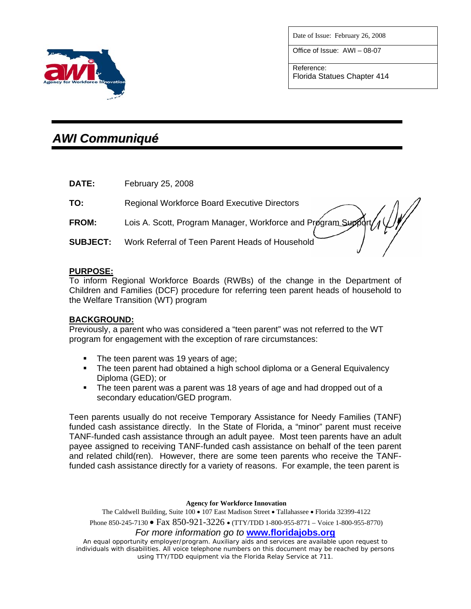

Office of Issue: AWI – 08-07

Reference: Florida Statues Chapter 414



# *AWI Communiqué*

**DATE:** February 25, 2008

| PAIL.           | ι συιμαιν Ζυ, Ζυυσ                                                |
|-----------------|-------------------------------------------------------------------|
| TO:             | <b>Regional Workforce Board Executive Directors</b>               |
| FROM:           | Lois A. Scott, Program Manager, Workforce and Program Support / 1 |
| <b>SUBJECT:</b> | Work Referral of Teen Parent Heads of Household                   |
|                 |                                                                   |

# **PURPOSE:**

To inform Regional Workforce Boards (RWBs) of the change in the Department of Children and Families (DCF) procedure for referring teen parent heads of household to the Welfare Transition (WT) program

# **BACKGROUND:**

Previously, a parent who was considered a "teen parent" was not referred to the WT program for engagement with the exception of rare circumstances:

- The teen parent was 19 years of age;
- The teen parent had obtained a high school diploma or a General Equivalency Diploma (GED); or
- The teen parent was a parent was 18 years of age and had dropped out of a secondary education/GED program.

Teen parents usually do not receive Temporary Assistance for Needy Families (TANF) funded cash assistance directly. In the State of Florida, a "minor" parent must receive TANF-funded cash assistance through an adult payee. Most teen parents have an adult payee assigned to receiving TANF-funded cash assistance on behalf of the teen parent and related child(ren). However, there are some teen parents who receive the TANFfunded cash assistance directly for a variety of reasons. For example, the teen parent is

**Agency for Workforce Innovation** 

The Caldwell Building, Suite 100 • 107 East Madison Street • Tallahassee • Florida 32399-4122 Phone 850-245-7130 • Fax 850-921-3226 • (TTY/TDD 1-800-955-8771 – Voice 1-800-955-8770)

*For more information go to* **www.floridajobs.org**

An equal opportunity employer/program. Auxiliary aids and services are available upon request to individuals with disabilities. All voice telephone numbers on this document may be reached by persons using TTY/TDD equipment via the Florida Relay Service at 711.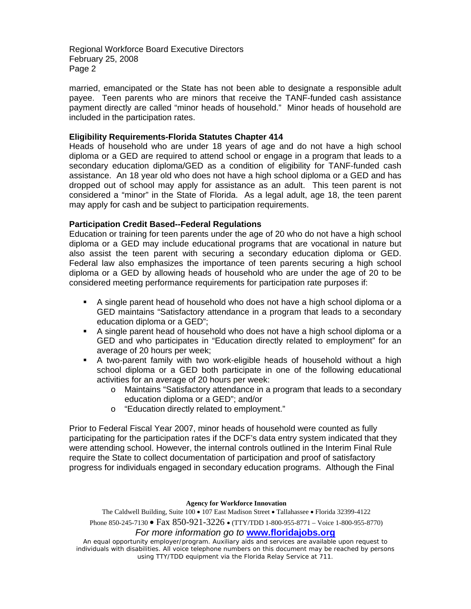married, emancipated or the State has not been able to designate a responsible adult payee. Teen parents who are minors that receive the TANF-funded cash assistance payment directly are called "minor heads of household." Minor heads of household are included in the participation rates.

#### **Eligibility Requirements-Florida Statutes Chapter 414**

Heads of household who are under 18 years of age and do not have a high school diploma or a GED are required to attend school or engage in a program that leads to a secondary education diploma/GED as a condition of eligibility for TANF-funded cash assistance. An 18 year old who does not have a high school diploma or a GED and has dropped out of school may apply for assistance as an adult. This teen parent is not considered a "minor" in the State of Florida. As a legal adult, age 18, the teen parent may apply for cash and be subject to participation requirements.

### **Participation Credit Based--Federal Regulations**

Education or training for teen parents under the age of 20 who do not have a high school diploma or a GED may include educational programs that are vocational in nature but also assist the teen parent with securing a secondary education diploma or GED. Federal law also emphasizes the importance of teen parents securing a high school diploma or a GED by allowing heads of household who are under the age of 20 to be considered meeting performance requirements for participation rate purposes if:

- A single parent head of household who does not have a high school diploma or a GED maintains "Satisfactory attendance in a program that leads to a secondary education diploma or a GED";
- A single parent head of household who does not have a high school diploma or a GED and who participates in "Education directly related to employment" for an average of 20 hours per week;
- A two-parent family with two work-eligible heads of household without a high school diploma or a GED both participate in one of the following educational activities for an average of 20 hours per week:
	- o Maintains "Satisfactory attendance in a program that leads to a secondary education diploma or a GED"; and/or
	- o "Education directly related to employment."

Prior to Federal Fiscal Year 2007, minor heads of household were counted as fully participating for the participation rates if the DCF's data entry system indicated that they were attending school. However, the internal controls outlined in the Interim Final Rule require the State to collect documentation of participation and proof of satisfactory progress for individuals engaged in secondary education programs. Although the Final

#### **Agency for Workforce Innovation**

The Caldwell Building, Suite 100 • 107 East Madison Street • Tallahassee • Florida 32399-4122 Phone 850-245-7130 • Fax 850-921-3226 • (TTY/TDD 1-800-955-8771 – Voice 1-800-955-8770)

*For more information go to* **www.floridajobs.org**

An equal opportunity employer/program. Auxiliary aids and services are available upon request to individuals with disabilities. All voice telephone numbers on this document may be reached by persons using TTY/TDD equipment via the Florida Relay Service at 711.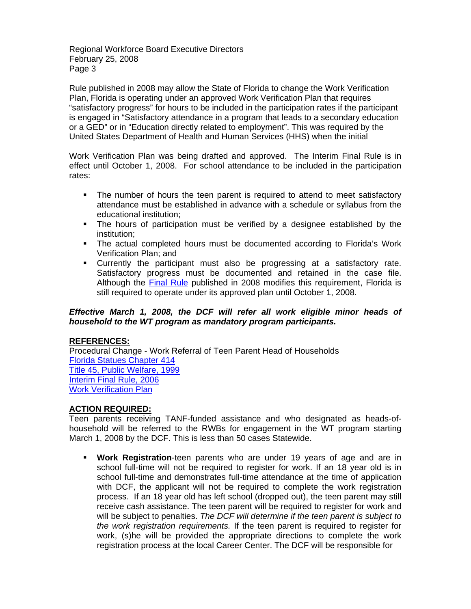Rule published in 2008 may allow the State of Florida to change the Work Verification Plan, Florida is operating under an approved Work Verification Plan that requires "satisfactory progress" for hours to be included in the participation rates if the participant is engaged in "Satisfactory attendance in a program that leads to a secondary education or a GED" or in "Education directly related to employment". This was required by the United States Department of Health and Human Services (HHS) when the initial

Work Verification Plan was being drafted and approved. The Interim Final Rule is in effect until October 1, 2008. For school attendance to be included in the participation rates:

- The number of hours the teen parent is required to attend to meet satisfactory attendance must be established in advance with a schedule or syllabus from the educational institution;
- The hours of participation must be verified by a designee established by the institution;
- The actual completed hours must be documented according to Florida's Work Verification Plan; and
- **Currently the participant must also be progressing at a satisfactory rate.** Satisfactory progress must be documented and retained in the case file. Although the **Final Rule** published in 2008 modifies this requirement, Florida is still required to operate under its approved plan until October 1, 2008.

# *Effective March 1, 2008, the DCF will refer all work eligible minor heads of household to the WT program as mandatory program participants.*

# **REFERENCES:**

Procedural Change - Work Referral of Teen Parent Head of Households [Florida Statues Chapter 414](http://www.flsenate.gov/statutes/index.cfm?App_mode=Display_Statute&URL=Ch0414/ch0414.htm) [Title 45, Public Welfare, 1999](http://www.access.gpo.gov/nara/cfr/waisidx_99/45cfrv2_99.html) [Interim Final Rule, 2006](http://www.acf.dhhs.gov/programs/ofa/tanfregs/tfinrule.pdf) [Work Verification Plan](http://www.floridajobs.org/pdg/WT_StLegis.html)

# **ACTION REQUIRED:**

Teen parents receiving TANF-funded assistance and who designated as heads-ofhousehold will be referred to the RWBs for engagement in the WT program starting March 1, 2008 by the DCF. This is less than 50 cases Statewide.

 **Work Registration**-teen parents who are under 19 years of age and are in school full-time will not be required to register for work. If an 18 year old is in school full-time and demonstrates full-time attendance at the time of application with DCF, the applicant will not be required to complete the work registration process. If an 18 year old has left school (dropped out), the teen parent may still receive cash assistance. The teen parent will be required to register for work and will be subject to penalties. *The DCF will determine if the teen parent is subject to the work registration requirements.* If the teen parent is required to register for work, (s)he will be provided the appropriate directions to complete the work registration process at the local Career Center. The DCF will be responsible for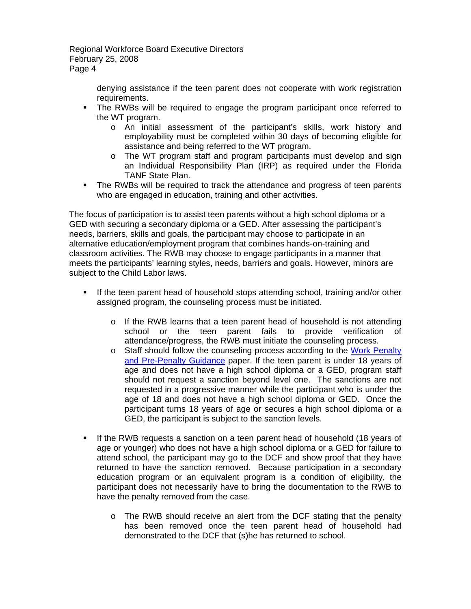> denying assistance if the teen parent does not cooperate with work registration requirements.

- The RWBs will be required to engage the program participant once referred to the WT program.
	- o An initial assessment of the participant's skills, work history and employability must be completed within 30 days of becoming eligible for assistance and being referred to the WT program.
	- o The WT program staff and program participants must develop and sign an Individual Responsibility Plan (IRP) as required under the Florida TANF State Plan.
- The RWBs will be required to track the attendance and progress of teen parents who are engaged in education, training and other activities.

The focus of participation is to assist teen parents without a high school diploma or a GED with securing a secondary diploma or a GED. After assessing the participant's needs, barriers, skills and goals, the participant may choose to participate in an alternative education/employment program that combines hands-on-training and classroom activities. The RWB may choose to engage participants in a manner that meets the participants' learning styles, needs, barriers and goals. However, minors are subject to the Child Labor laws.

- If the teen parent head of household stops attending school, training and/or other assigned program, the counseling process must be initiated.
	- o If the RWB learns that a teen parent head of household is not attending school or the teen parent fails to provide verification of attendance/progress, the RWB must initiate the counseling process.
	- o Staff should follow the counseling process according to the [Work Penalty](http://www.floridajobs.org/pdg/guidancepapers/037wrkpenaltyprepenaltywtrev012104.rtf)  [and Pre-Penalty Guidance](http://www.floridajobs.org/pdg/guidancepapers/037wrkpenaltyprepenaltywtrev012104.rtf) paper. If the teen parent is under 18 years of age and does not have a high school diploma or a GED, program staff should not request a sanction beyond level one. The sanctions are not requested in a progressive manner while the participant who is under the age of 18 and does not have a high school diploma or GED. Once the participant turns 18 years of age or secures a high school diploma or a GED, the participant is subject to the sanction levels.
- If the RWB requests a sanction on a teen parent head of household (18 years of age or younger) who does not have a high school diploma or a GED for failure to attend school, the participant may go to the DCF and show proof that they have returned to have the sanction removed. Because participation in a secondary education program or an equivalent program is a condition of eligibility, the participant does not necessarily have to bring the documentation to the RWB to have the penalty removed from the case.
	- o The RWB should receive an alert from the DCF stating that the penalty has been removed once the teen parent head of household had demonstrated to the DCF that (s)he has returned to school.